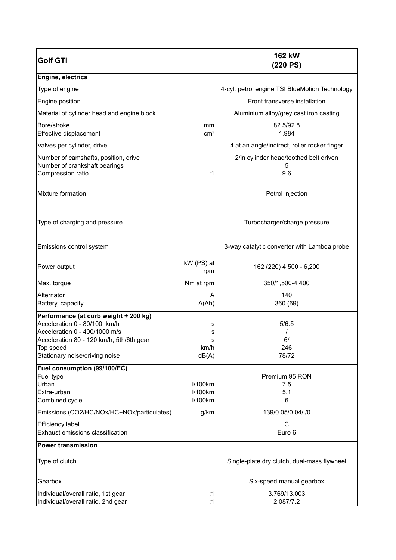| <b>Golf GTI</b>                                                                                                                                                                                   |                               | 162 kW<br>(220 P <sub>S</sub> )                    |
|---------------------------------------------------------------------------------------------------------------------------------------------------------------------------------------------------|-------------------------------|----------------------------------------------------|
| Engine, electrics                                                                                                                                                                                 |                               |                                                    |
| Type of engine                                                                                                                                                                                    |                               | 4-cyl. petrol engine TSI BlueMotion Technology     |
| Engine position                                                                                                                                                                                   |                               | Front transverse installation                      |
| Material of cylinder head and engine block                                                                                                                                                        |                               | Aluminium alloy/grey cast iron casting             |
| Bore/stroke<br>Effective displacement                                                                                                                                                             | mm<br>$\text{cm}^3$           | 82.5/92.8<br>1,984                                 |
| Valves per cylinder, drive                                                                                                                                                                        |                               | 4 at an angle/indirect, roller rocker finger       |
| Number of camshafts, position, drive<br>Number of crankshaft bearings<br>Compression ratio                                                                                                        | :1                            | 2/in cylinder head/toothed belt driven<br>5<br>9.6 |
| Mixture formation                                                                                                                                                                                 |                               | Petrol injection                                   |
| Type of charging and pressure                                                                                                                                                                     |                               | Turbocharger/charge pressure                       |
| Emissions control system                                                                                                                                                                          |                               | 3-way catalytic converter with Lambda probe        |
| Power output                                                                                                                                                                                      | kW (PS) at<br>rpm             | 162 (220) 4,500 - 6,200                            |
| Max. torque                                                                                                                                                                                       | Nm at rpm                     | 350/1,500-4,400                                    |
| Alternator<br>Battery, capacity                                                                                                                                                                   | A<br>A(Ah)                    | 140<br>360 (69)                                    |
| Performance (at curb weight + 200 kg)<br>Acceleration 0 - 80/100 km/h<br>Acceleration 0 - 400/1000 m/s<br>Acceleration 80 - 120 km/h, 5th/6th gear<br>Top speed<br>Stationary noise/driving noise | s<br>s<br>s<br>km/h<br>dB(A)  | 5/6.5<br>6/<br>246<br>78/72                        |
| Fuel consumption (99/100/EC)                                                                                                                                                                      |                               |                                                    |
| Fuel type<br>Urban<br>Extra-urban<br>Combined cycle                                                                                                                                               | I/100km<br>I/100km<br>I/100km | Premium 95 RON<br>7.5<br>5.1<br>6                  |
| Emissions (CO2/HC/NOx/HC+NOx/particulates)                                                                                                                                                        | g/km                          | 139/0.05/0.04/ /0                                  |
| <b>Efficiency label</b><br>Exhaust emissions classification                                                                                                                                       |                               | C<br>Euro 6                                        |
| <b>Power transmission</b>                                                                                                                                                                         |                               |                                                    |
| Type of clutch                                                                                                                                                                                    |                               | Single-plate dry clutch, dual-mass flywheel        |
| Gearbox                                                                                                                                                                                           |                               | Six-speed manual gearbox                           |
| Individual/overall ratio, 1st gear<br>Individual/overall ratio, 2nd gear                                                                                                                          | :1<br>:1                      | 3.769/13.003<br>2.087/7.2                          |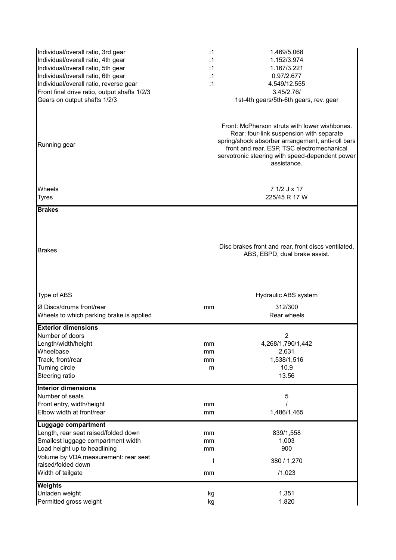| Individual/overall ratio, 3rd gear<br>Individual/overall ratio, 4th gear<br>Individual/overall ratio, 5th gear<br>Individual/overall ratio, 6th gear<br>Individual/overall ratio, reverse gear<br>Front final drive ratio, output shafts 1/2/3<br>Gears on output shafts 1/2/3 | :1<br>:1<br>:1<br>:1<br>:1 | 1.469/5.068<br>1.152/3.974<br>1.167/3.221<br>0.97/2.677<br>4.549/12.555<br>3.45/2.76/<br>1st-4th gears/5th-6th gears, rev. gear                                                                                                                                |
|--------------------------------------------------------------------------------------------------------------------------------------------------------------------------------------------------------------------------------------------------------------------------------|----------------------------|----------------------------------------------------------------------------------------------------------------------------------------------------------------------------------------------------------------------------------------------------------------|
| Running gear                                                                                                                                                                                                                                                                   |                            | Front: McPherson struts with lower wishbones.<br>Rear: four-link suspension with separate<br>spring/shock absorber arrangement, anti-roll bars<br>front and rear. ESP, TSC electromechanical<br>servotronic steering with speed-dependent power<br>assistance. |
| Wheels<br><b>Tyres</b>                                                                                                                                                                                                                                                         |                            | 7 1/2 J x 17<br>225/45 R 17 W                                                                                                                                                                                                                                  |
| <b>Brakes</b>                                                                                                                                                                                                                                                                  |                            |                                                                                                                                                                                                                                                                |
| <b>Brakes</b>                                                                                                                                                                                                                                                                  |                            | Disc brakes front and rear, front discs ventilated,<br>ABS, EBPD, dual brake assist.                                                                                                                                                                           |
| Type of ABS                                                                                                                                                                                                                                                                    |                            | Hydraulic ABS system                                                                                                                                                                                                                                           |
| Ø Discs/drums front/rear<br>Wheels to which parking brake is applied                                                                                                                                                                                                           | mm                         | 312/300<br>Rear wheels                                                                                                                                                                                                                                         |
| <b>Exterior dimensions</b><br>Number of doors                                                                                                                                                                                                                                  |                            | 2                                                                                                                                                                                                                                                              |
| Length/width/height                                                                                                                                                                                                                                                            | mm                         | 4,268/1,790/1,442                                                                                                                                                                                                                                              |
| Wheelbase                                                                                                                                                                                                                                                                      | mm                         | 2,631                                                                                                                                                                                                                                                          |
| Track, front/rear                                                                                                                                                                                                                                                              | mm                         | 1,538/1,516                                                                                                                                                                                                                                                    |
| Turning circle<br>Steering ratio                                                                                                                                                                                                                                               | m                          | 10.9<br>13.56                                                                                                                                                                                                                                                  |
| <b>Interior dimensions</b>                                                                                                                                                                                                                                                     |                            |                                                                                                                                                                                                                                                                |
| Number of seats                                                                                                                                                                                                                                                                |                            | 5                                                                                                                                                                                                                                                              |
| Front entry, width/height<br>Elbow width at front/rear                                                                                                                                                                                                                         | mm<br>mm                   | 1,486/1,465                                                                                                                                                                                                                                                    |
| <b>Luggage compartment</b>                                                                                                                                                                                                                                                     |                            |                                                                                                                                                                                                                                                                |
| Length, rear seat raised/folded down                                                                                                                                                                                                                                           | mm                         | 839/1,558                                                                                                                                                                                                                                                      |
| Smallest luggage compartment width<br>Load height up to headlining                                                                                                                                                                                                             | mm<br>mm                   | 1,003<br>900                                                                                                                                                                                                                                                   |
| Volume by VDA measurement: rear seat                                                                                                                                                                                                                                           |                            |                                                                                                                                                                                                                                                                |
| raised/folded down                                                                                                                                                                                                                                                             |                            | 380 / 1,270                                                                                                                                                                                                                                                    |
| Width of tailgate                                                                                                                                                                                                                                                              | mm                         | /1,023                                                                                                                                                                                                                                                         |
| Weights<br>Unladen weight<br>Permitted gross weight                                                                                                                                                                                                                            | kg<br>kg                   | 1,351<br>1,820                                                                                                                                                                                                                                                 |